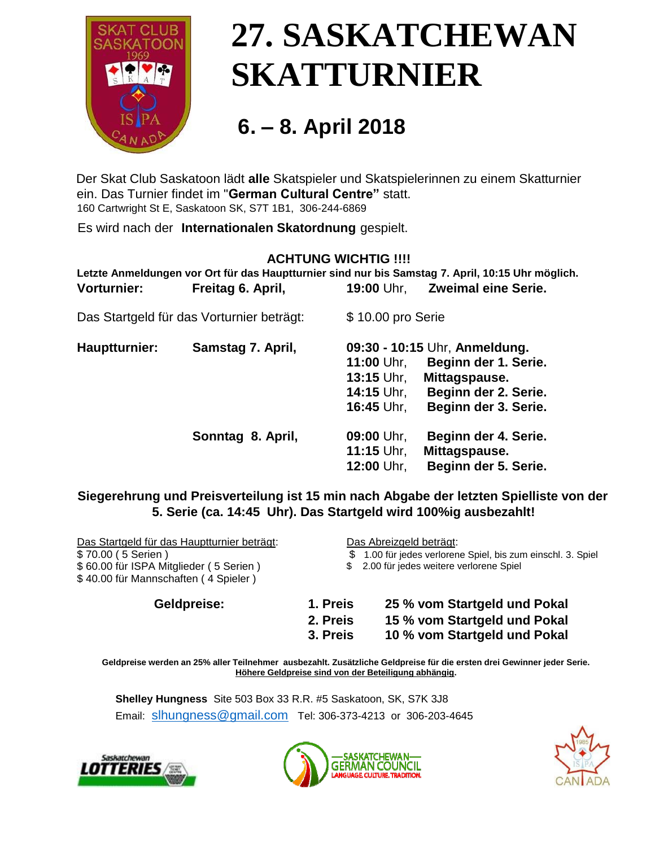

# **27. SASKATCHEWAN SKATTURNIER**

### **6. – 8. April <sup>2018</sup>**

Der Skat Club Saskatoon lädt **alle** Skatspieler und Skatspielerinnen zu einem Skatturnier ein. Das Turnier findet im "**German Cultural Centre"** statt. 160 Cartwright St E, Saskatoon SK, S7T 1B1, 306-244-6869

Es wird nach der **Internationalen Skatordnung** gespielt.

#### **ACHTUNG WICHTIG !!!!**

**Letzte Anmeldungen vor Ort für das Hauptturnier sind nur bis Samstag 7. April, 10:15 Uhr möglich. Vorturnier: Freitag 6. April, 19:00** Uhr, **Zweimal eine Serie.**

Das Startgeld für das Vorturnier beträgt: \$ 10.00 pro Serie

| Hauptturnier: | Samstag 7. April, | 09:30 - 10:15 Uhr, Anmeldung.      |  |
|---------------|-------------------|------------------------------------|--|
|               |                   | Beginn der 1. Serie.<br>11:00 Uhr, |  |
|               |                   | 13:15 Uhr,<br>Mittagspause.        |  |
|               |                   | Beginn der 2. Serie.<br>14:15 Uhr, |  |
|               |                   | Beginn der 3. Serie.<br>16:45 Uhr. |  |
|               | Sonntag 8. April, | Beginn der 4. Serie.<br>09:00 Uhr, |  |
|               |                   | 11:15 Uhr,<br>Mittagspause.        |  |
|               |                   | Beginn der 5. Serie.<br>12:00 Uhr, |  |

#### **Siegerehrung und Preisverteilung ist 15 min nach Abgabe der letzten Spielliste von der 5. Serie (ca. 14:45 Uhr). Das Startgeld wird 100%ig ausbezahlt!**

Das Startgeld für das Hauptturnier beträgt: Das Abreizgeld beträgt: \$ 70.00 ( 5 Serien ) \$ 1.00 für jedes verlorene Spiel, bis zum einschl. 3. Spiel \$ 60.00 für ISPA Mitglieder ( 5 Serien ) \$ 40.00 für Mannschaften ( 4 Spieler ) \$ 2.00 für jedes weitere verlorene Spiel **Geldpreise: 1. Preis 25 % vom Startgeld und Pokal** 

- **2. Preis 15 % vom Startgeld und Pokal** 
	- **3. Preis 10 % vom Startgeld und Pokal**

**Geldpreise werden an 25% aller Teilnehmer ausbezahlt. Zusätzliche Geldpreise für die ersten drei Gewinner jeder Serie. Höhere Geldpreise sind von der Beteiligung abhängig.** 

**Shelley Hungness** Site 503 Box 33 R.R. #5 Saskatoon, SK, S7K 3J8 Email: [slhungness@gmail.com](mailto:slhungness@gmail.com) Tel: 306-373-4213 or 306-203-4645